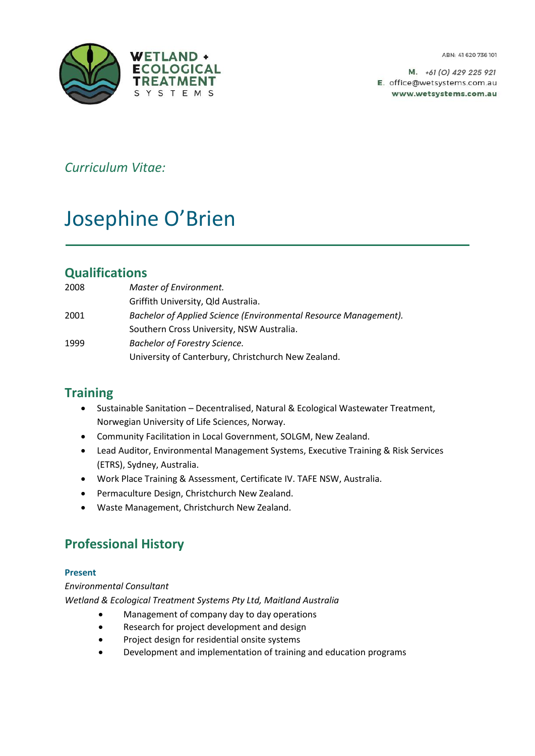

*+61 (0) 429 225 921* E. office@wetsystems.com.au www.wetsystems.com.au

*Curriculum Vitae:*

# Josephine O'Brien

# **Qualifications**

| 2008 | Master of Environment.                                           |
|------|------------------------------------------------------------------|
|      | Griffith University, Qld Australia.                              |
| 2001 | Bachelor of Applied Science (Environmental Resource Management). |
|      | Southern Cross University, NSW Australia.                        |
| 1999 | <b>Bachelor of Forestry Science.</b>                             |
|      | University of Canterbury, Christchurch New Zealand.              |

# **Training**

- Sustainable Sanitation Decentralised, Natural & Ecological Wastewater Treatment, Norwegian University of Life Sciences, Norway.
- Community Facilitation in Local Government, SOLGM, New Zealand.
- Lead Auditor, Environmental Management Systems, Executive Training & Risk Services (ETRS), Sydney, Australia.
- Work Place Training & Assessment, Certificate IV. TAFE NSW, Australia.
- Permaculture Design, Christchurch New Zealand.
- Waste Management, Christchurch New Zealand.

# **Professional History**

## **Present**

*Environmental Consultant Wetland & Ecological Treatment Systems Pty Ltd, Maitland Australia*

- Management of company day to day operations
- Research for project development and design
- Project design for residential onsite systems
- Development and implementation of training and education programs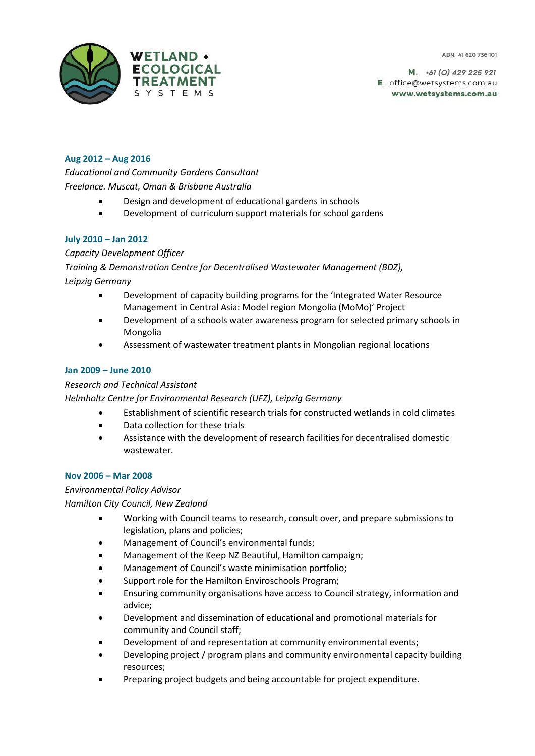

## **Aug 2012 – Aug 2016**

*Educational and Community Gardens Consultant Freelance. Muscat, Oman & Brisbane Australia*

- Design and development of educational gardens in schools
- Development of curriculum support materials for school gardens

#### **July 2010 – Jan 2012**

#### *Capacity Development Officer*

*Training & Demonstration Centre for Decentralised Wastewater Management (BDZ), Leipzig Germany*

- Development of capacity building programs for the 'Integrated Water Resource Management in Central Asia: Model region Mongolia (MoMo)' Project
- Development of a schools water awareness program for selected primary schools in Mongolia
- Assessment of wastewater treatment plants in Mongolian regional locations

#### **Jan 2009 – June 2010**

#### *Research and Technical Assistant*

*Helmholtz Centre for Environmental Research (UFZ), Leipzig Germany*

- Establishment of scientific research trials for constructed wetlands in cold climates
- Data collection for these trials
- Assistance with the development of research facilities for decentralised domestic wastewater.

#### **Nov 2006 – Mar 2008**

#### *Environmental Policy Advisor*

*Hamilton City Council, New Zealand*

- Working with Council teams to research, consult over, and prepare submissions to legislation, plans and policies;
- Management of Council's environmental funds;
- Management of the Keep NZ Beautiful, Hamilton campaign;
- Management of Council's waste minimisation portfolio;
- Support role for the Hamilton Enviroschools Program;
- Ensuring community organisations have access to Council strategy, information and advice;
- Development and dissemination of educational and promotional materials for community and Council staff;
- Development of and representation at community environmental events;
- Developing project / program plans and community environmental capacity building resources;
- Preparing project budgets and being accountable for project expenditure.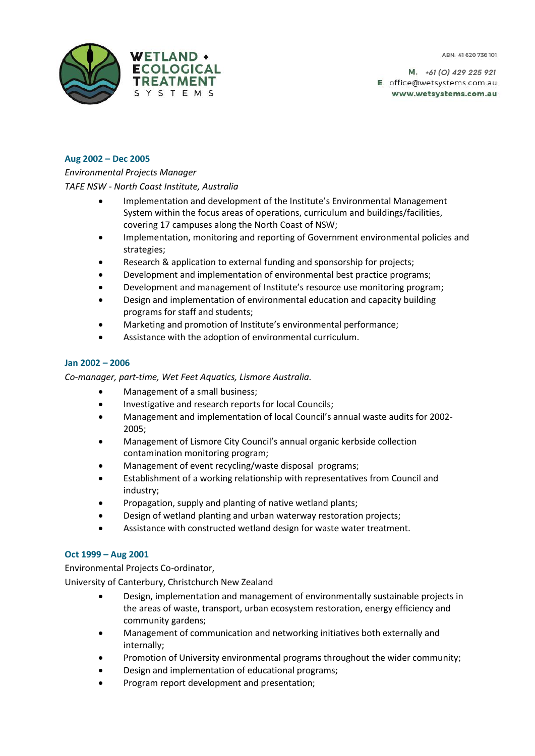

## **Aug 2002 – Dec 2005**

## *Environmental Projects Manager*

*TAFE NSW - North Coast Institute, Australia*

- Implementation and development of the Institute's Environmental Management System within the focus areas of operations, curriculum and buildings/facilities, covering 17 campuses along the North Coast of NSW;
- Implementation, monitoring and reporting of Government environmental policies and strategies;
- Research & application to external funding and sponsorship for projects;
- Development and implementation of environmental best practice programs;
- Development and management of Institute's resource use monitoring program;
- Design and implementation of environmental education and capacity building programs for staff and students;
- Marketing and promotion of Institute's environmental performance;
- Assistance with the adoption of environmental curriculum.

#### **Jan 2002 – 2006**

*Co-manager, part-time, Wet Feet Aquatics, Lismore Australia.*

- Management of a small business;
- Investigative and research reports for local Councils;
- Management and implementation of local Council's annual waste audits for 2002- 2005;
- Management of Lismore City Council's annual organic kerbside collection contamination monitoring program;
- Management of event recycling/waste disposal programs;
- Establishment of a working relationship with representatives from Council and industry;
- Propagation, supply and planting of native wetland plants;
- Design of wetland planting and urban waterway restoration projects;
- Assistance with constructed wetland design for waste water treatment.

#### **Oct 1999 – Aug 2001**

Environmental Projects Co-ordinator, University of Canterbury, Christchurch New Zealand

- Design, implementation and management of environmentally sustainable projects in the areas of waste, transport, urban ecosystem restoration, energy efficiency and community gardens;
- Management of communication and networking initiatives both externally and internally;
- Promotion of University environmental programs throughout the wider community;
- Design and implementation of educational programs;
- Program report development and presentation;